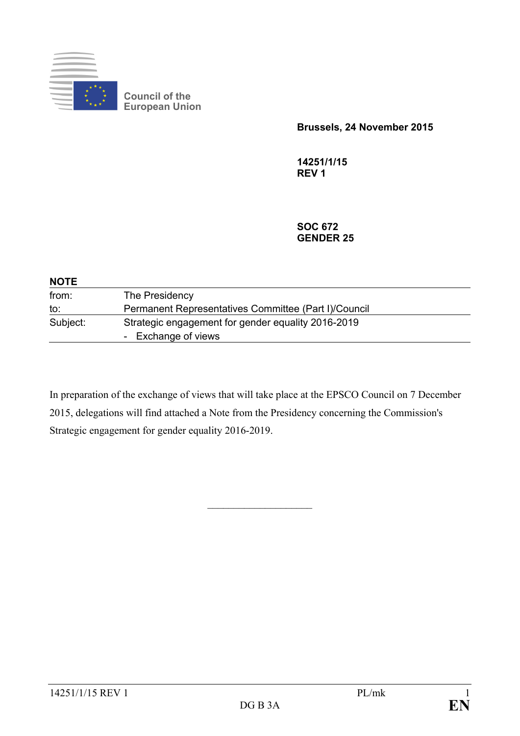

**Council of the European Union**

**Brussels, 24 November 2015**

**14251/1/15 REV 1**

**SOC 672 GENDER 25**

| <b>NOTE</b> |                                                                           |
|-------------|---------------------------------------------------------------------------|
| from:       | The Presidency                                                            |
| to:         | Permanent Representatives Committee (Part I)/Council                      |
| Subject:    | Strategic engagement for gender equality 2016-2019<br>- Exchange of views |

In preparation of the exchange of views that will take place at the EPSCO Council on 7 December 2015, delegations will find attached a Note from the Presidency concerning the Commission's Strategic engagement for gender equality 2016-2019.

 $\overline{\phantom{a}}$  , and the set of the set of the set of the set of the set of the set of the set of the set of the set of the set of the set of the set of the set of the set of the set of the set of the set of the set of the s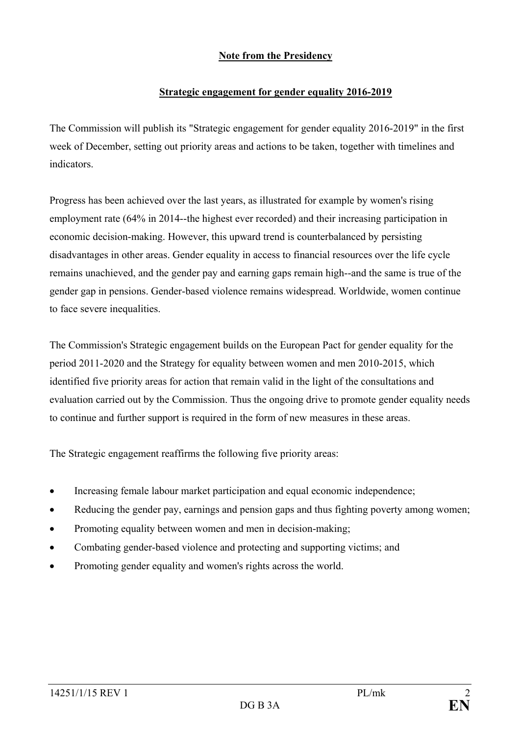## **Note from the Presidency**

## **Strategic engagement for gender equality 2016-2019**

The Commission will publish its "Strategic engagement for gender equality 2016-2019" in the first week of December, setting out priority areas and actions to be taken, together with timelines and indicators.

Progress has been achieved over the last years, as illustrated for example by women's rising employment rate (64% in 2014--the highest ever recorded) and their increasing participation in economic decision-making. However, this upward trend is counterbalanced by persisting disadvantages in other areas. Gender equality in access to financial resources over the life cycle remains unachieved, and the gender pay and earning gaps remain high--and the same is true of the gender gap in pensions. Gender-based violence remains widespread. Worldwide, women continue to face severe inequalities.

The Commission's Strategic engagement builds on the European Pact for gender equality for the period 2011-2020 and the Strategy for equality between women and men 2010-2015, which identified five priority areas for action that remain valid in the light of the consultations and evaluation carried out by the Commission. Thus the ongoing drive to promote gender equality needs to continue and further support is required in the form of new measures in these areas.

The Strategic engagement reaffirms the following five priority areas:

- Increasing female labour market participation and equal economic independence;
- Reducing the gender pay, earnings and pension gaps and thus fighting poverty among women;
- Promoting equality between women and men in decision-making;
- Combating gender-based violence and protecting and supporting victims; and
- Promoting gender equality and women's rights across the world.